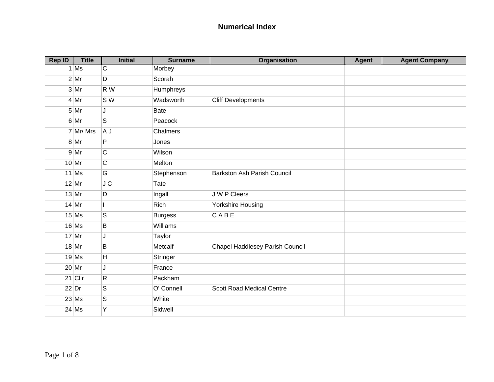| <b>Rep ID</b> | <b>Title</b> | <b>Initial</b> | <b>Surname</b> | Organisation                     | Agent | <b>Agent Company</b> |
|---------------|--------------|----------------|----------------|----------------------------------|-------|----------------------|
|               | $1$ Ms       | C              | Morbey         |                                  |       |                      |
|               | $2$ Mr       | D              | Scorah         |                                  |       |                      |
|               | $3$ Mr       | R W            | Humphreys      |                                  |       |                      |
|               | $4$ Mr       | S W            | Wadsworth      | <b>Cliff Developments</b>        |       |                      |
|               | $5$ Mr       | J              | Bate           |                                  |       |                      |
|               | $6$ Mr       | S              | Peacock        |                                  |       |                      |
|               | 7 Mr/ Mrs    | A J            | Chalmers       |                                  |       |                      |
|               | $8$ Mr       | P              | Jones          |                                  |       |                      |
|               | $9$ Mr       | C              | Wilson         |                                  |       |                      |
|               | $10$ Mr      | C              | Melton         |                                  |       |                      |
|               | $11$ Ms      | G              | Stephenson     | Barkston Ash Parish Council      |       |                      |
|               | $12$ Mr      | JC             | Tate           |                                  |       |                      |
|               | $13$ Mr      | D              | Ingall         | J W P Cleers                     |       |                      |
|               | $14$ Mr      |                | Rich           | Yorkshire Housing                |       |                      |
|               | $15$ Ms      | S              | <b>Burgess</b> | CABE                             |       |                      |
|               | $16$ Ms      | B              | Williams       |                                  |       |                      |
|               | $17$ Mr      | J              | Taylor         |                                  |       |                      |
|               | $18$ Mr      | B              | Metcalf        | Chapel Haddlesey Parish Council  |       |                      |
|               | $19$ Ms      | H              | Stringer       |                                  |       |                      |
|               | $20$ Mr      | J              | France         |                                  |       |                      |
|               | $21$ Cllr    | $\mathsf{R}$   | Packham        |                                  |       |                      |
|               | $22$ Dr      | S              | O' Connell     | <b>Scott Road Medical Centre</b> |       |                      |
|               | $23$ Ms      | S              | White          |                                  |       |                      |
|               | $24$ Ms      | Y              | Sidwell        |                                  |       |                      |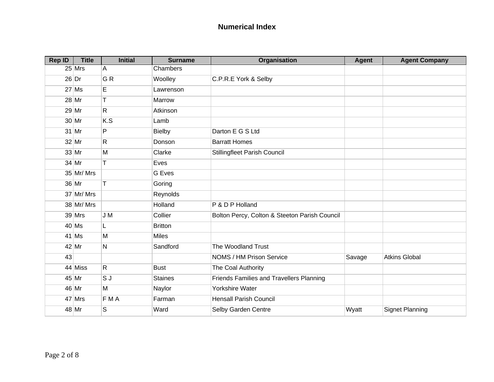| <b>Rep ID</b> | <b>Title</b> | <b>Initial</b> | <b>Surname</b> | Organisation                                  | Agent  | <b>Agent Company</b>   |
|---------------|--------------|----------------|----------------|-----------------------------------------------|--------|------------------------|
|               | $25$ Mrs     | A              | Chambers       |                                               |        |                        |
|               | $26$ Dr      | GR             | Woolley        | C.P.R.E York & Selby                          |        |                        |
|               | $27$ Ms      | E              | Lawrenson      |                                               |        |                        |
|               | $28$ Mr      | T              | Marrow         |                                               |        |                        |
|               | $29$ Mr      | $\mathsf{R}$   | Atkinson       |                                               |        |                        |
|               | $30$ Mr      | K.S            | Lamb           |                                               |        |                        |
|               | $31$ Mr      | P              | <b>Bielby</b>  | Darton E G S Ltd                              |        |                        |
|               | $32$ Mr      | $\mathsf{R}$   | Donson         | <b>Barratt Homes</b>                          |        |                        |
|               | $33$ Mr      | M              | Clarke         | Stillingfleet Parish Council                  |        |                        |
|               | 34 Mr        | T              | Eves           |                                               |        |                        |
|               | 35 Mr/ Mrs   |                | <b>G</b> Eves  |                                               |        |                        |
|               | 36 Mr        | T              | Goring         |                                               |        |                        |
|               | 37 Mr/ Mrs   |                | Reynolds       |                                               |        |                        |
|               | 38 Mr/Mrs    |                | Holland        | P & D P Holland                               |        |                        |
|               | $39$ Mrs     | J M            | Collier        | Bolton Percy, Colton & Steeton Parish Council |        |                        |
|               | $40$ Ms      | L              | <b>Britton</b> |                                               |        |                        |
|               | $41$ Ms      | M              | Miles          |                                               |        |                        |
|               | 42 Mr        | N              | Sandford       | The Woodland Trust                            |        |                        |
| 43            |              |                |                | NOMS / HM Prison Service                      | Savage | <b>Atkins Global</b>   |
|               | 44 Miss      | $\mathsf{R}$   | <b>Bust</b>    | The Coal Authority                            |        |                        |
|               | 45 Mr        | S J            | <b>Staines</b> | Friends Families and Travellers Planning      |        |                        |
|               | 46 Mr        | M              | Naylor         | Yorkshire Water                               |        |                        |
|               | $47$ Mrs     | FMA            | Farman         | <b>Hensall Parish Council</b>                 |        |                        |
|               | 48 Mr        | S              | Ward           | Selby Garden Centre                           | Wyatt  | <b>Signet Planning</b> |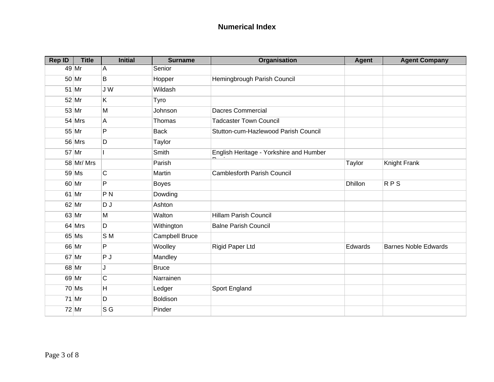| <b>Rep ID</b> | <b>Title</b> | <b>Initial</b> | <b>Surname</b>        | Organisation                            | <b>Agent</b>   | <b>Agent Company</b>        |
|---------------|--------------|----------------|-----------------------|-----------------------------------------|----------------|-----------------------------|
|               | 49 Mr        | A              | Senior                |                                         |                |                             |
|               | 50 Mr        | B              | Hopper                | Hemingbrough Parish Council             |                |                             |
|               | 51 Mr        | J W            | Wildash               |                                         |                |                             |
|               | 52 Mr        | K.             | Tyro                  |                                         |                |                             |
|               | 53 Mr        | M              | Johnson               | <b>Dacres Commercial</b>                |                |                             |
|               | $54$ Mrs     | A              | Thomas                | <b>Tadcaster Town Council</b>           |                |                             |
|               | 55 Mr        | P              | <b>Back</b>           | Stutton-cum-Hazlewood Parish Council    |                |                             |
|               | $56$ Mrs     | D              | Taylor                |                                         |                |                             |
|               | 57 Mr        |                | Smith                 | English Heritage - Yorkshire and Humber |                |                             |
|               | 58 Mr/ Mrs   |                | Parish                |                                         | Taylor         | Knight Frank                |
|               | $59$ Ms      | $\mathsf C$    | Martin                | <b>Camblesforth Parish Council</b>      |                |                             |
|               | 60 Mr        | P              | <b>Boyes</b>          |                                         | <b>Dhillon</b> | <b>RPS</b>                  |
|               | 61 Mr        | P <sub>N</sub> | Dowding               |                                         |                |                             |
|               | 62 Mr        | DJ             | Ashton                |                                         |                |                             |
|               | 63 Mr        | M              | Walton                | <b>Hillam Parish Council</b>            |                |                             |
|               | $64$ Mrs     | D              | Withington            | <b>Balne Parish Council</b>             |                |                             |
|               | $65$ Ms      | SM             | <b>Campbell Bruce</b> |                                         |                |                             |
|               | 66 Mr        | P              | Woolley               | Rigid Paper Ltd                         | Edwards        | <b>Barnes Noble Edwards</b> |
|               | 67 Mr        | PJ             | Mandley               |                                         |                |                             |
|               | 68 Mr        | J              | <b>Bruce</b>          |                                         |                |                             |
|               | 69 Mr        | C              | Narrainen             |                                         |                |                             |
|               | $70$ Ms      | H              | Ledger                | Sport England                           |                |                             |
|               | 71 Mr        | D              | Boldison              |                                         |                |                             |
|               | 72 Mr        | S G            | Pinder                |                                         |                |                             |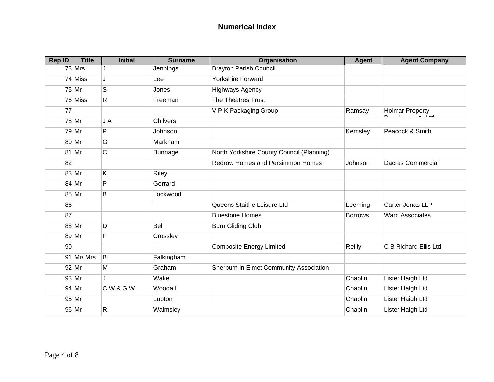| <b>Rep ID</b> | <b>Title</b> | <b>Initial</b> | <b>Surname</b>  | Organisation                              | Agent          | <b>Agent Company</b>     |
|---------------|--------------|----------------|-----------------|-------------------------------------------|----------------|--------------------------|
|               | $73$ Mrs     | J              | Jennings        | <b>Brayton Parish Council</b>             |                |                          |
|               | 74 Miss      | J              | Lee             | <b>Yorkshire Forward</b>                  |                |                          |
|               | $75$ Mr      | S              | Jones           | <b>Highways Agency</b>                    |                |                          |
|               | 76 Miss      | $\mathsf{R}$   | Freeman         | The Theatres Trust                        |                |                          |
| 77            |              |                |                 | V P K Packaging Group                     | Ramsay         | <b>Holmar Property</b>   |
|               | 78 Mr        | J A            | <b>Chilvers</b> |                                           |                |                          |
|               | 79 Mr        | P              | Johnson         |                                           | Kemsley        | Peacock & Smith          |
|               | $80$ Mr      | G              | Markham         |                                           |                |                          |
|               | 81 Mr        | C              | <b>Bunnage</b>  | North Yorkshire County Council (Planning) |                |                          |
| 82            |              |                |                 | Redrow Homes and Persimmon Homes          | Johnson        | <b>Dacres Commercial</b> |
|               | $83$ Mr      | K              | Riley           |                                           |                |                          |
|               | $84$ Mr      | P              | Gerrard         |                                           |                |                          |
|               | $85$ Mr      | B              | Lockwood        |                                           |                |                          |
| 86            |              |                |                 | Queens Staithe Leisure Ltd                | Leeming        | Carter Jonas LLP         |
| 87            |              |                |                 | <b>Bluestone Homes</b>                    | <b>Borrows</b> | <b>Ward Associates</b>   |
|               | 88 Mr        | D              | Bell            | <b>Burn Gliding Club</b>                  |                |                          |
|               | 89 Mr        | P              | Crossley        |                                           |                |                          |
| 90            |              |                |                 | <b>Composite Energy Limited</b>           | Reilly         | C B Richard Ellis Ltd    |
|               | 91 Mr/ Mrs   | B              | Falkingham      |                                           |                |                          |
|               | $92$ Mr      | M              | Graham          | Sherburn in Elmet Community Association   |                |                          |
|               | $93$ Mr      | J              | Wake            |                                           | Chaplin        | Lister Haigh Ltd         |
|               | 94 Mr        | CW&GW          | Woodall         |                                           | Chaplin        | Lister Haigh Ltd         |
|               | 95 Mr        |                | Lupton          |                                           | Chaplin        | Lister Haigh Ltd         |
|               | 96 Mr        | R              | Walmsley        |                                           | Chaplin        | Lister Haigh Ltd         |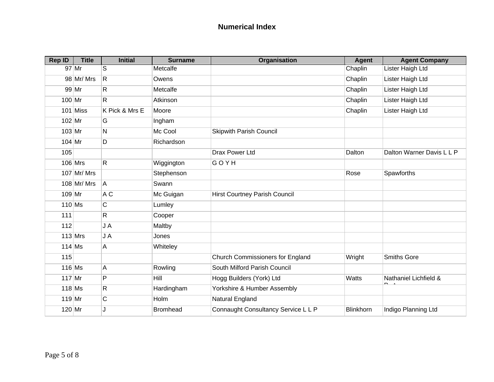| <b>Rep ID</b> | <b>Title</b>  | <b>Initial</b> | <b>Surname</b>  | Organisation                            | <b>Agent</b>     | <b>Agent Company</b>                   |
|---------------|---------------|----------------|-----------------|-----------------------------------------|------------------|----------------------------------------|
|               | 97 Mr         | S              | Metcalfe        |                                         | Chaplin          | Lister Haigh Ltd                       |
|               | 98 Mr/ Mrs    | $\mathsf{R}$   | Owens           |                                         | Chaplin          | Lister Haigh Ltd                       |
|               | 99 Mr         | R.             | Metcalfe        |                                         | Chaplin          | Lister Haigh Ltd                       |
| $100$ Mr      |               | R.             | Atkinson        |                                         | Chaplin          | Lister Haigh Ltd                       |
|               | $101$ Miss    | K Pick & Mrs E | Moore           |                                         | Chaplin          | Lister Haigh Ltd                       |
| $102$ Mr      |               | G              | Ingham          |                                         |                  |                                        |
| $103$ Mr      |               | N              | Mc Cool         | <b>Skipwith Parish Council</b>          |                  |                                        |
| $104$ Mr      |               | D              | Richardson      |                                         |                  |                                        |
| 105           |               |                |                 | <b>Drax Power Ltd</b>                   | Dalton           | Dalton Warner Davis L L P              |
|               | $106$ Mrs     | $\mathsf{R}$   | Wiggington      | GOYH                                    |                  |                                        |
|               | $107$ Mr/ Mrs |                | Stephenson      |                                         | Rose             | Spawforths                             |
|               | 108 Mr/ Mrs   | A              | Swann           |                                         |                  |                                        |
| $109$ Mr      |               | A C            | Mc Guigan       | <b>Hirst Courtney Parish Council</b>    |                  |                                        |
| $110$ Ms      |               | C              | Lumley          |                                         |                  |                                        |
| 111           |               | R              | Cooper          |                                         |                  |                                        |
| 112           |               | JA             | Maltby          |                                         |                  |                                        |
|               | $113$ Mrs     | J A            | Jones           |                                         |                  |                                        |
| $114$ Ms      |               | Α              | Whiteley        |                                         |                  |                                        |
| 115           |               |                |                 | <b>Church Commissioners for England</b> | Wright           | Smiths Gore                            |
|               | $116$ Ms      | A              | Rowling         | South Milford Parish Council            |                  |                                        |
| $117$ Mr      |               | P              | Hill            | Hogg Builders (York) Ltd                | Watts            | Nathaniel Lichfield &<br>$\sim$ $\sim$ |
| $118$ Ms      |               | R              | Hardingham      | Yorkshire & Humber Assembly             |                  |                                        |
| $119$ Mr      |               | C              | Holm            | Natural England                         |                  |                                        |
| $120$ Mr      |               | J.             | <b>Bromhead</b> | Connaught Consultancy Service L L P     | <b>Blinkhorn</b> | Indigo Planning Ltd                    |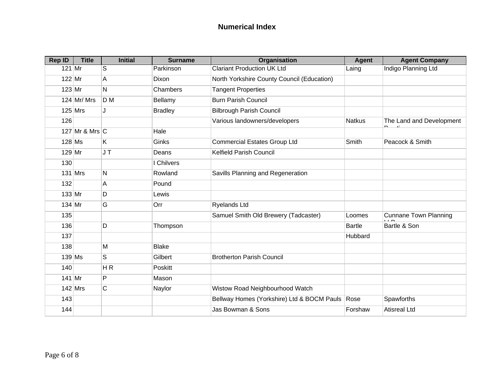| <b>Rep ID</b> | <b>Title</b>       | <b>Initial</b> | <b>Surname</b> | Organisation                               | <b>Agent</b>  | <b>Agent Company</b>         |
|---------------|--------------------|----------------|----------------|--------------------------------------------|---------------|------------------------------|
| $121$ Mr      |                    | S              | Parkinson      | <b>Clariant Production UK Ltd</b>          | Laing         | Indigo Planning Ltd          |
| $122$ Mr      |                    | A              | Dixon          | North Yorkshire County Council (Education) |               |                              |
| $123$ Mr      |                    | N              | Chambers       | <b>Tangent Properties</b>                  |               |                              |
|               | $124$ Mr/ Mrs      | D M            | Bellamy        | <b>Burn Parish Council</b>                 |               |                              |
|               | $125$ Mrs          | J              | <b>Bradley</b> | <b>Bilbrough Parish Council</b>            |               |                              |
| 126           |                    |                |                | Various landowners/developers              | <b>Natkus</b> | The Land and Development     |
|               | 127 Mr & Mrs $ C $ |                | Hale           |                                            |               |                              |
| $128$ Ms      |                    | Κ              | Ginks          | <b>Commercial Estates Group Ltd</b>        | Smith         | Peacock & Smith              |
| $129$ Mr      |                    | JT             | Deans          | Kelfield Parish Council                    |               |                              |
| 130           |                    |                | I Chilvers     |                                            |               |                              |
|               | $131$ Mrs          | $\mathsf{N}$   | Rowland        | Savills Planning and Regeneration          |               |                              |
| 132           |                    | A              | Pound          |                                            |               |                              |
| $133$ Mr      |                    | D              | Lewis          |                                            |               |                              |
| $134$ Mr      |                    | G              | Orr            | <b>Ryelands Ltd</b>                        |               |                              |
| 135           |                    |                |                | Samuel Smith Old Brewery (Tadcaster)       | Loomes        | <b>Cunnane Town Planning</b> |
| 136           |                    | D              | Thompson       |                                            | <b>Bartle</b> | Bartle & Son                 |
| 137           |                    |                |                |                                            | Hubbard       |                              |
| 138           |                    | M              | <b>Blake</b>   |                                            |               |                              |
| $139$ Ms      |                    | S              | Gilbert        | <b>Brotherton Parish Council</b>           |               |                              |
| 140           |                    | H R            | Poskitt        |                                            |               |                              |
| $141$ Mr      |                    | P              | Mason          |                                            |               |                              |
|               | $142$ Mrs          | $\mathsf C$    | Naylor         | Wistow Road Neighbourhood Watch            |               |                              |
| 143           |                    |                |                | Bellway Homes (Yorkshire) Ltd & BOCM Pauls | Rose          | Spawforths                   |
| 144           |                    |                |                | Jas Bowman & Sons                          | Forshaw       | <b>Atisreal Ltd</b>          |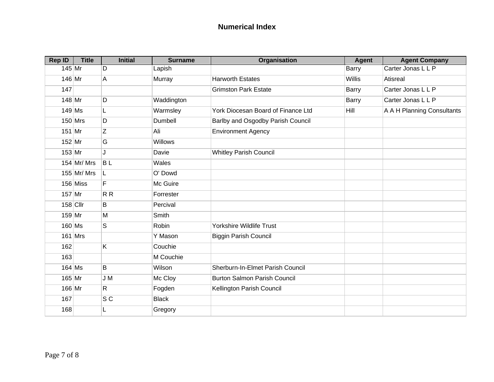| <b>Rep ID</b> | <b>Title</b>  | <b>Initial</b> | <b>Surname</b> | Organisation                        | <b>Agent</b>  | <b>Agent Company</b>       |
|---------------|---------------|----------------|----------------|-------------------------------------|---------------|----------------------------|
| $145$ Mr      |               | D              | Lapish         |                                     | <b>Barry</b>  | Carter Jonas L L P         |
| 146 Mr        |               | A              | Murray         | <b>Harworth Estates</b>             | <b>Willis</b> | Atisreal                   |
| 147           |               |                |                | <b>Grimston Park Estate</b>         | <b>Barry</b>  | Carter Jonas L L P         |
| $148$ Mr      |               | D              | Waddington     |                                     | Barry         | Carter Jonas L L P         |
| $149$ Ms      |               | L              | Warmsley       | York Diocesan Board of Finance Ltd  | Hill          | A A H Planning Consultants |
|               | $150$ Mrs     | D              | Dumbell        | Barlby and Osgodby Parish Council   |               |                            |
| $151$ Mr      |               | Z              | Ali            | <b>Environment Agency</b>           |               |                            |
| $152$ Mr      |               | G              | Willows        |                                     |               |                            |
| $153$ Mr      |               | J              | Davie          | <b>Whitley Parish Council</b>       |               |                            |
|               | $154$ Mr/ Mrs | <b>BL</b>      | Wales          |                                     |               |                            |
|               | $155$ Mr/ Mrs | L              | O' Dowd        |                                     |               |                            |
|               | $156$ Miss    | F              | Mc Guire       |                                     |               |                            |
| $157$ Mr      |               | R R            | Forrester      |                                     |               |                            |
|               | $158$ Cllr    | B              | Percival       |                                     |               |                            |
| $159$ Mr      |               | M              | Smith          |                                     |               |                            |
| $160$ Ms      |               | S              | <b>Robin</b>   | Yorkshire Wildlife Trust            |               |                            |
|               | $161$ Mrs     |                | Y Mason        | <b>Biggin Parish Council</b>        |               |                            |
| 162           |               | Κ              | Couchie        |                                     |               |                            |
| 163           |               |                | M Couchie      |                                     |               |                            |
|               | $164$ Ms      | B              | Wilson         | Sherburn-In-Elmet Parish Council    |               |                            |
| $165$ Mr      |               | J M            | Mc Cloy        | <b>Burton Salmon Parish Council</b> |               |                            |
| 166 Mr        |               | $\mathsf{R}$   | Fogden         | Kellington Parish Council           |               |                            |
| 167           |               | S <sub>C</sub> | <b>Black</b>   |                                     |               |                            |
| 168           |               | L              | Gregory        |                                     |               |                            |